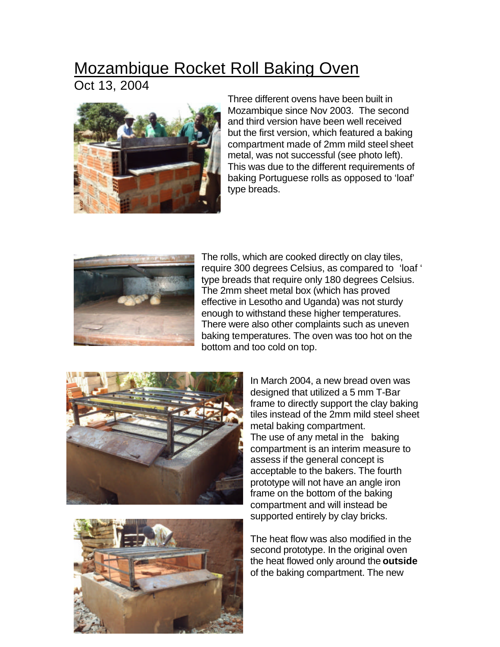## Mozambique Rocket Roll Baking Oven

Oct 13, 2004



Three different ovens have been built in Mozambique since Nov 2003. The second and third version have been well received but the first version, which featured a baking compartment made of 2mm mild steel sheet metal, was not successful (see photo left). This was due to the different requirements of baking Portuguese rolls as opposed to 'loaf' type breads.



The rolls, which are cooked directly on clay tiles, require 300 degrees Celsius, as compared to 'loaf ' type breads that require only 180 degrees Celsius. The 2mm sheet metal box (which has proved effective in Lesotho and Uganda) was not sturdy enough to withstand these higher temperatures. There were also other complaints such as uneven baking temperatures. The oven was too hot on the bottom and too cold on top.





In March 2004, a new bread oven was designed that utilized a 5 mm T-Bar frame to directly support the clay baking tiles instead of the 2mm mild steel sheet metal baking compartment. The use of any metal in the baking compartment is an interim measure to assess if the general concept is acceptable to the bakers. The fourth prototype will not have an angle iron frame on the bottom of the baking compartment and will instead be supported entirely by clay bricks.

The heat flow was also modified in the second prototype. In the original oven the heat flowed only around the **outside** of the baking compartment. The new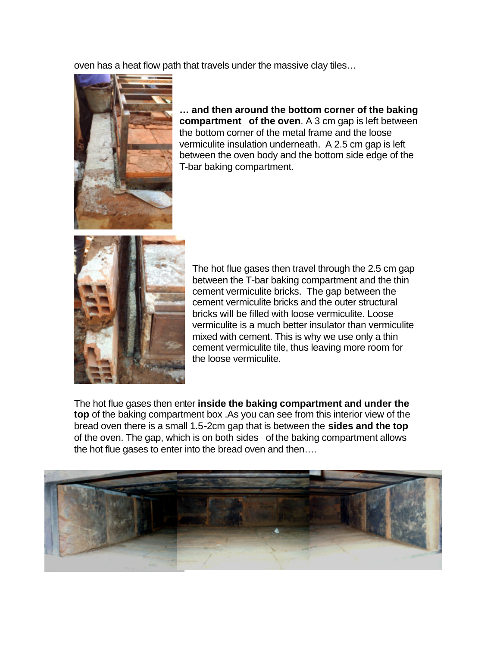oven has a heat flow path that travels under the massive clay tiles…



**… and then around the bottom corner of the baking compartment of the oven**. A 3 cm gap is left between the bottom corner of the metal frame and the loose vermiculite insulation underneath. A 2.5 cm gap is left between the oven body and the bottom side edge of the T-bar baking compartment.



The hot flue gases then travel through the 2.5 cm gap between the T-bar baking compartment and the thin cement vermiculite bricks. The gap between the cement vermiculite bricks and the outer structural bricks will be filled with loose vermiculite. Loose vermiculite is a much better insulator than vermiculite mixed with cement. This is why we use only a thin cement vermiculite tile, thus leaving more room for the loose vermiculite.

The hot flue gases then enter **inside the baking compartment and under the top** of the baking compartment box .As you can see from this interior view of the bread oven there is a small 1.5-2cm gap that is between the **sides and the top** of the oven. The gap, which is on both sides of the baking compartment allows the hot flue gases to enter into the bread oven and then….

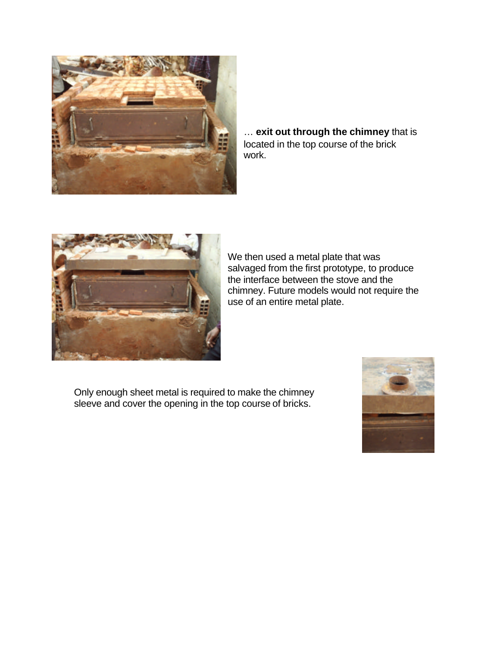

… **exit out through the chimney** that is located in the top course of the brick work.



We then used a metal plate that was salvaged from the first prototype, to produce the interface between the stove and the chimney. Future models would not require the use of an entire metal plate.

Only enough sheet metal is required to make the chimney sleeve and cover the opening in the top course of bricks.

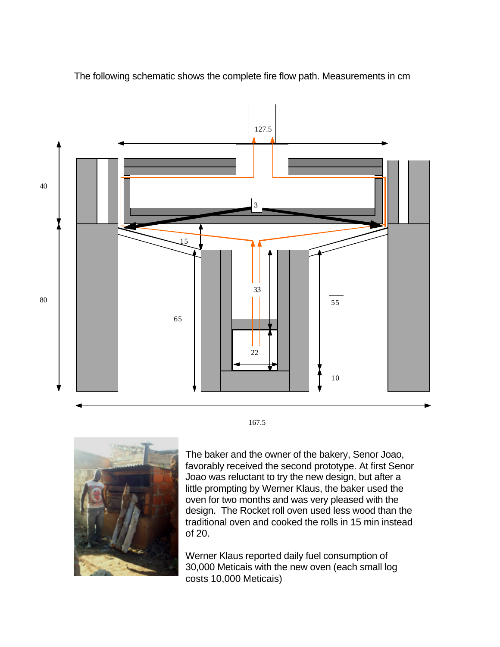

The following schematic shows the complete fire flow path. Measurements in cm

167.5



The baker and the owner of the bakery, Senor Joao, favorably received the second prototype. At first Senor Joao was reluctant to try the new design, but after a little prompting by Werner Klaus, the baker used the oven for two months and was very pleased with the design. The Rocket roll oven used less wood than the traditional oven and cooked the rolls in 15 min instead of 20.

Werner Klaus reported daily fuel consumption of 30,000 Meticais with the new oven (each small log costs 10,000 Meticais)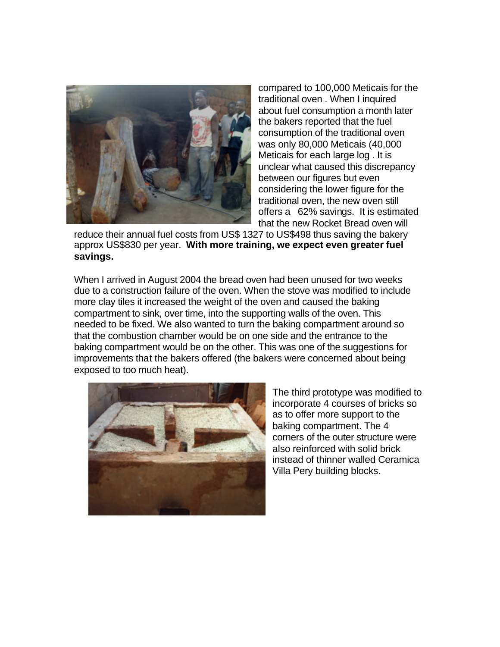

compared to 100,000 Meticais for the traditional oven . When I inquired about fuel consumption a month later the bakers reported that the fuel consumption of the traditional oven was only 80,000 Meticais (40,000 Meticais for each large log . It is unclear what caused this discrepancy between our figures but even considering the lower figure for the traditional oven, the new oven still offers a 62% savings. It is estimated that the new Rocket Bread oven will

reduce their annual fuel costs from US\$ 1327 to US\$498 thus saving the bakery approx US\$830 per year. **With more training, we expect even greater fuel savings.**

When I arrived in August 2004 the bread oven had been unused for two weeks due to a construction failure of the oven. When the stove was modified to include more clay tiles it increased the weight of the oven and caused the baking compartment to sink, over time, into the supporting walls of the oven. This needed to be fixed. We also wanted to turn the baking compartment around so that the combustion chamber would be on one side and the entrance to the baking compartment would be on the other. This was one of the suggestions for improvements that the bakers offered (the bakers were concerned about being exposed to too much heat).



The third prototype was modified to incorporate 4 courses of bricks so as to offer more support to the baking compartment. The 4 corners of the outer structure were also reinforced with solid brick instead of thinner walled Ceramica Villa Pery building blocks.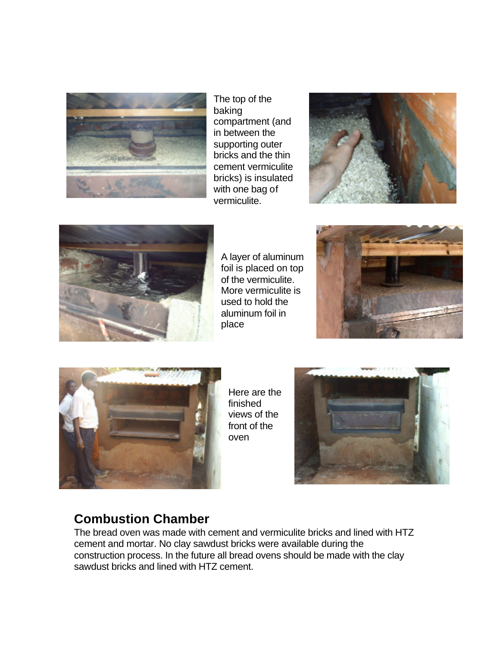

The top of the baking compartment (and in between the supporting outer bricks and the thin cement vermiculite bricks) is insulated with one bag of vermiculite.





A layer of aluminum foil is placed on top of the vermiculite. More vermiculite is used to hold the aluminum foil in place





Here are the finished views of the front of the oven



## **Combustion Chamber**

The bread oven was made with cement and vermiculite bricks and lined with HTZ cement and mortar. No clay sawdust bricks were available during the construction process. In the future all bread ovens should be made with the clay sawdust bricks and lined with HTZ cement.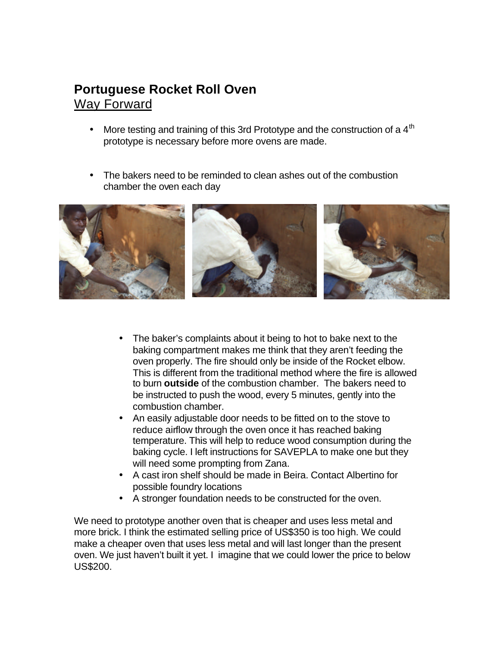## **Portuguese Rocket Roll Oven**  Way Forward

- More testing and training of this 3rd Prototype and the construction of a  $4<sup>tn</sup>$ prototype is necessary before more ovens are made.
- The bakers need to be reminded to clean ashes out of the combustion chamber the oven each day



- The baker's complaints about it being to hot to bake next to the baking compartment makes me think that they aren't feeding the oven properly. The fire should only be inside of the Rocket elbow. This is different from the traditional method where the fire is allowed to burn **outside** of the combustion chamber. The bakers need to be instructed to push the wood, every 5 minutes, gently into the combustion chamber.
- An easily adjustable door needs to be fitted on to the stove to reduce airflow through the oven once it has reached baking temperature. This will help to reduce wood consumption during the baking cycle. I left instructions for SAVEPLA to make one but they will need some prompting from Zana.
- A cast iron shelf should be made in Beira. Contact Albertino for possible foundry locations
- A stronger foundation needs to be constructed for the oven.

We need to prototype another oven that is cheaper and uses less metal and more brick. I think the estimated selling price of US\$350 is too high. We could make a cheaper oven that uses less metal and will last longer than the present oven. We just haven't built it yet. I imagine that we could lower the price to below US\$200.